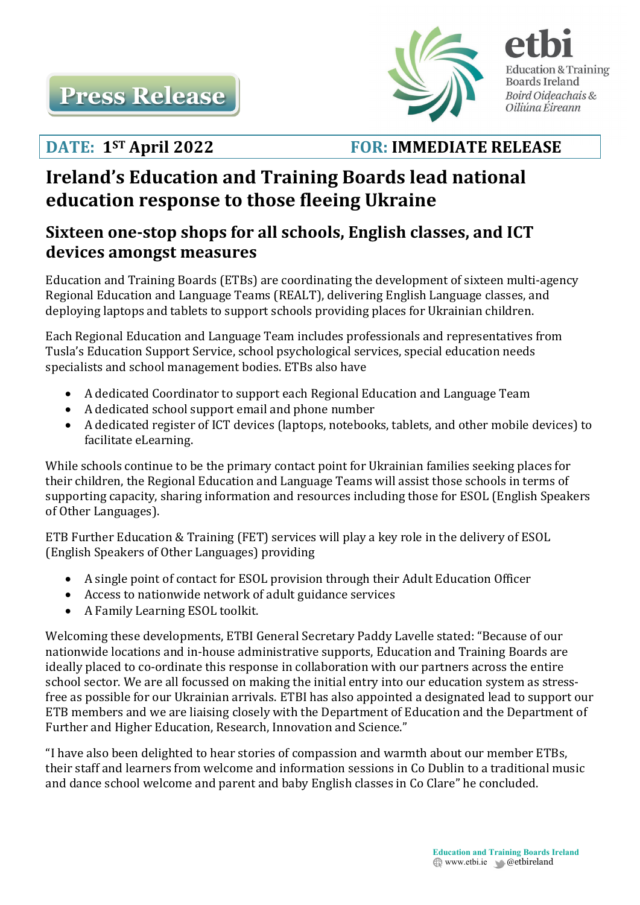

**DATE: 1ST April 2022 FOR: IMMEDIATE RELEASE**

**Education & Training Boards Ireland** Boird Oideachais & Oiliúna Éireann

# **Ireland's Education and Training Boards lead national education response to those fleeing Ukraine**

## **Sixteen one-stop shops for all schools, English classes, and ICT devices amongst measures**

Education and Training Boards (ETBs) are coordinating the development of sixteen multi-agency Regional Education and Language Teams (REALT), delivering English Language classes, and deploying laptops and tablets to support schools providing places for Ukrainian children.

Each Regional Education and Language Team includes professionals and representatives from Tusla's Education Support Service, school psychological services, special education needs specialists and school management bodies. ETBs also have

- A dedicated Coordinator to support each Regional Education and Language Team
- A dedicated school support email and phone number
- A dedicated register of ICT devices (laptops, notebooks, tablets, and other mobile devices) to facilitate eLearning.

While schools continue to be the primary contact point for Ukrainian families seeking places for their children, the Regional Education and Language Teams will assist those schools in terms of supporting capacity, sharing information and resources including those for ESOL (English Speakers of Other Languages).

ETB Further Education & Training (FET) services will play a key role in the delivery of ESOL (English Speakers of Other Languages) providing

- A single point of contact for ESOL provision through their Adult Education Officer
- Access to nationwide network of adult guidance services
- A Family Learning ESOL toolkit.

Welcoming these developments, ETBI General Secretary Paddy Lavelle stated: "Because of our nationwide locations and in-house administrative supports, Education and Training Boards are ideally placed to co-ordinate this response in collaboration with our partners across the entire school sector. We are all focussed on making the initial entry into our education system as stressfree as possible for our Ukrainian arrivals. ETBI has also appointed a designated lead to support our ETB members and we are liaising closely with the Department of Education and the Department of Further and Higher Education, Research, Innovation and Science."

"I have also been delighted to hear stories of compassion and warmth about our member ETBs, their staff and learners from welcome and information sessions in Co Dublin to a traditional music and dance school welcome and parent and baby English classes in Co Clare" he concluded.